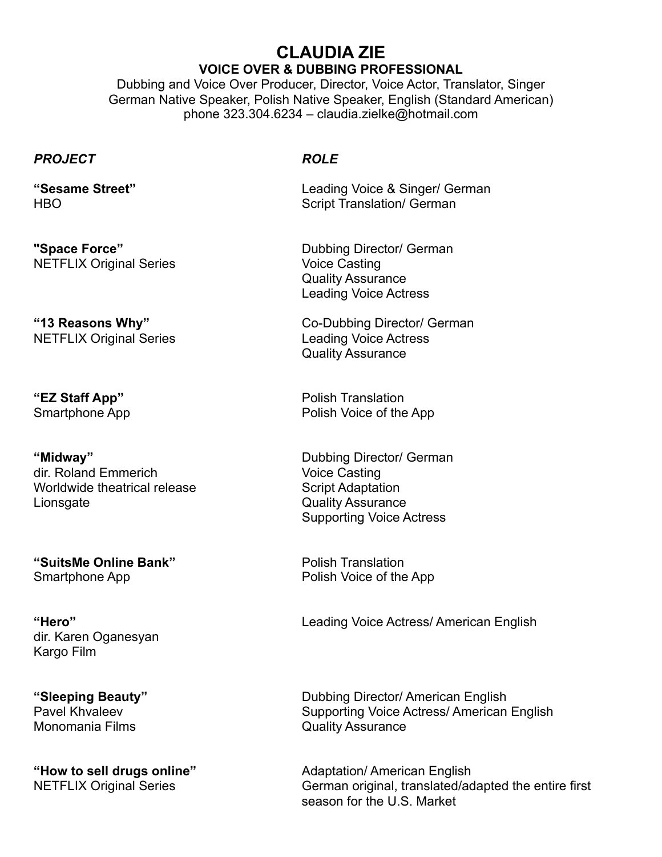## **CLAUDIA ZIE VOICE OVER & DUBBING PROFESSIONAL**

Dubbing and Voice Over Producer, Director, Voice Actor, Translator, Singer German Native Speaker, Polish Native Speaker, English (Standard American) phone 323.304.6234 – claudia.zielke@hotmail.com

## *PROJECT ROLE*

NETFLIX Original Series Voice Casting

NETFLIX Original Series **Leading Voice Actress** 

**"Midway"** Dubbing Director/ German dir. Roland Emmerich Voice Casting Worldwide theatrical release Script Adaptation Lionsgate Quality Assurance

**"SuitsMe Online Bank"** Polish Translation Smartphone App **Polish Voice of the App** 

dir. Karen Oganesyan Kargo Film

Monomania Films **Constanting Constanting Constanting Constanting Constanting Constanting Constanting Constanting Constanting Constanting Constanting Constanting Constanting Constanting Constanting Constanting Constanting C** 

**"Sesame Street"** Leading Voice & Singer/ German HBO Script Translation/ German

**"Space Force"** Dubbing Director/ German Quality Assurance Leading Voice Actress

**"13 Reasons Why"** Co-Dubbing Director/ German Quality Assurance

**"EZ Staff App"** Polish Translation Smartphone App **Polish Voice of the App** 

Supporting Voice Actress

**"Hero"** Leading Voice Actress/ American English

**"Sleeping Beauty"** Dubbing Director/ American English Pavel Khvaleev **Supporting Voice Actress/ American English** 

**"How to sell drugs online"** Adaptation/ American English<br>NETFLIX Original Series **Alta and Accord Contract Contracts** German original, translated/ac German original, translated/adapted the entire first season for the U.S. Market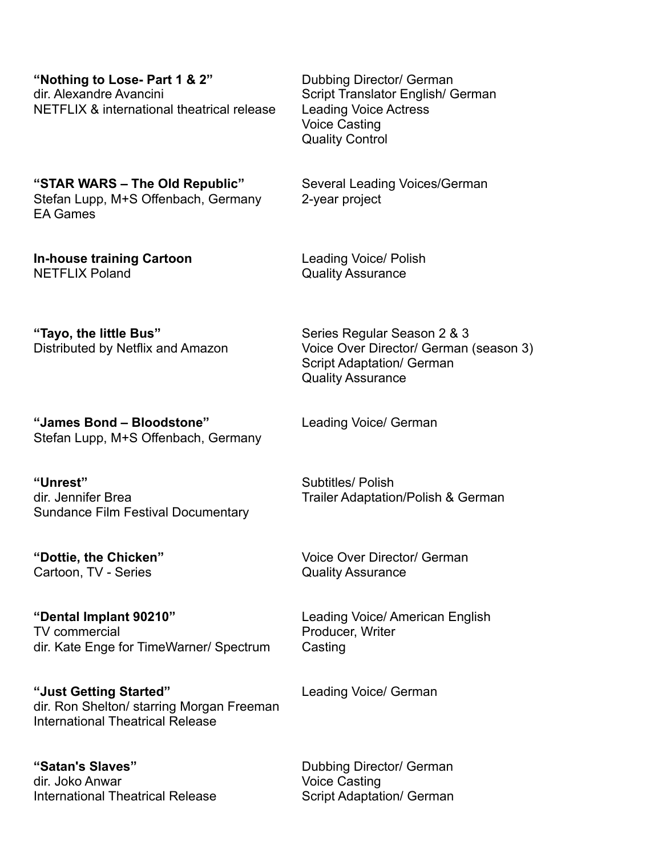**"Nothing to Lose- Part 1 & 2"** Dubbing Director/ German dir. Alexandre Avancini Script Translator English/ German NETFLIX & international theatrical release Leading Voice Actress

Voice Casting Quality Control

**"STAR WARS – The Old Republic"** Several Leading Voices/German Stefan Lupp, M+S Offenbach, Germany 2-year project EA Games

**In-house training Cartoon** Leading Voice/ Polish NETFLIX Poland **CONFINGT CONTACT CONTROLLY ASSURANCE** 

**"Tayo, the little Bus"** Series Regular Season 2 & 3 Distributed by Netflix and Amazon Voice Over Director/ German (season 3)

**"James Bond – Bloodstone"** Leading Voice/ German Stefan Lupp, M+S Offenbach, Germany

**"Unrest"** Subtitles/ Polish dir. Jennifer Brea Trailer Adaptation/Polish & German Sundance Film Festival Documentary

Cartoon, TV - Series Cartoon, TV - Series Cuality Assurance

**"Dental Implant 90210"** Leading Voice/ American English TV commercial and a series of the Producer, Writer dir. Kate Enge for TimeWarner/ Spectrum Casting

**"Just Getting Started"** Leading Voice/ German dir. Ron Shelton/ starring Morgan Freeman International Theatrical Release

"Satan's Slaves" **Dubbing Director/ German** dir. Joko Anwar Voice Casting International Theatrical Release Script Adaptation/ German

Script Adaptation/ German Quality Assurance

**"Dottie, the Chicken"** Voice Over Director/ German